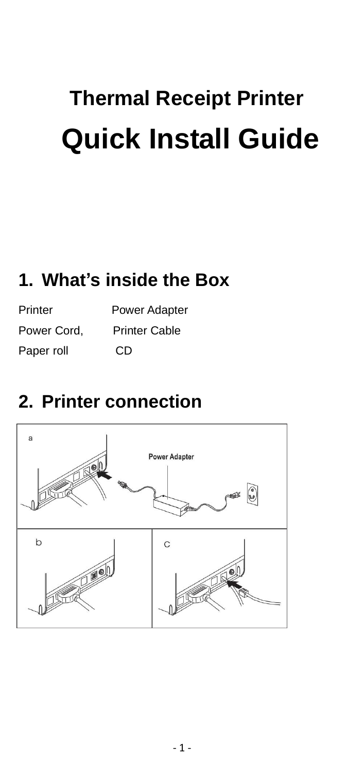# **Thermal Receipt Printer Quick Install Guide**

#### **1. What's inside the Box**

Printer Power Adapter Power Cord, Printer Cable Paper roll CD

#### **2. Printer connection**

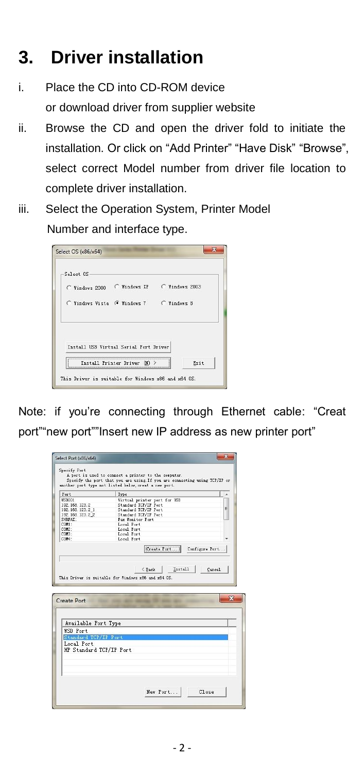#### **3. Driver installation**

- i. Place the CD into CD-ROM device or download driver from supplier website
- ii. Browse the CD and open the driver fold to initiate the installation. Or click on "Add Printer" "Have Disk" "Browse", select correct Model number from driver file location to complete driver installation.
- iii. Select the Operation System, Printer Model Number and interface type.

| Select OS                               |                                            |
|-----------------------------------------|--------------------------------------------|
|                                         | C Windows 2000 C Windows XP C Windows 2003 |
| C Windows Vista G Windows 7 C Windows 8 |                                            |
| Install USB Virtual Serial Port Driver  |                                            |
|                                         |                                            |

Note: if you're connecting through Ethernet cable: "Creat port""new port""Insert new IP address as new printer port"

| Port                           |                                                      |
|--------------------------------|------------------------------------------------------|
| <b>USB001</b>                  | Type                                                 |
| 192.168.123.2                  | Virtual printer port for USB<br>Standard TCP/IP Port |
| 192.168.123.2 1                | E<br>Standard TCP/IP Port                            |
| 192.168.123.2 2                | Standard TCP/IP Port                                 |
| SHRFAY :                       | Fax Honitor Port                                     |
| COM1 :                         | Local Port                                           |
| COM2:                          | Local Port                                           |
| CDM3:                          | Local Port                                           |
| CDM4 *                         | Local Port                                           |
|                                |                                                      |
|                                |                                                      |
| Available Port Type            |                                                      |
| Create Port<br><b>WSD Port</b> |                                                      |
| Standard TCP/IP Port           |                                                      |
|                                |                                                      |
| Local Port                     |                                                      |
| HP Standard TCP/IP Port        |                                                      |
|                                |                                                      |
|                                |                                                      |
|                                |                                                      |
|                                |                                                      |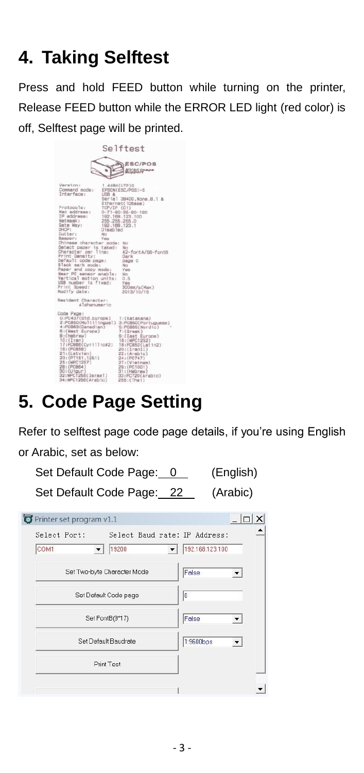### **4. Taking Selftest**

Press and hold FEED button while turning on the printer, Release FEED button while the ERROR LED light (red color) is off, Selftest page will be printed.

| Selftest<br>ESC/POS<br>NV bit image                                                                                                                                                                                                                                                                                                                                                                                                                                                                                                                                                                                                                                                                                                                                            |  |
|--------------------------------------------------------------------------------------------------------------------------------------------------------------------------------------------------------------------------------------------------------------------------------------------------------------------------------------------------------------------------------------------------------------------------------------------------------------------------------------------------------------------------------------------------------------------------------------------------------------------------------------------------------------------------------------------------------------------------------------------------------------------------------|--|
| Version:<br>1.4ABH(UTP)Q<br>Command mode:<br>EPSON(ESC/POS)-S<br>Interface:<br>USB &<br>Serial 38400, None, 8, 1 &<br>Ethernet(10Base)<br>Protocols:<br>TCP/IP (C1)<br>Mac address:<br>$0 - 71 - 80 - 35 - 80 - 190$<br>IP address:<br>192.168.123.100<br>Netmask:<br>255.255.255.0<br>Gate Way:<br>192.168.123.1<br>DHCP:<br>Disabled<br><b>Cutter:</b><br>No<br>Beeper:<br>Ves<br>Chinese character mode:<br>No<br>Detect paper is taked:<br>No<br>Character per line:<br>42-fontA/56-fontB<br>Print Density:<br>Dark<br>Default code page:<br>page 0<br>Black mark mode:<br>No<br>Paper end copy mode:<br>Vee<br>Near PE sensor enable:<br>No<br>Vertical motion units:<br>0.5<br>USB number is fixed:<br>Yas<br>Print Speed:<br>300mm/s(Max)<br>Modify date:<br>2013/10/15 |  |
| Resident Character:<br>Alphanumeric                                                                                                                                                                                                                                                                                                                                                                                                                                                                                                                                                                                                                                                                                                                                            |  |
| Code Page:<br>0:PC437(Std.Europe)<br>1:(Katakana)<br>2:PC850(Multilingual) 3:PC860(Portuguese)<br>4:PCBB3(Canadian)<br>5:PC885(Nordic)<br>B:(West Europe)<br>$7:$ $(Greesk)$<br>B: (Hebraw)<br>9:(East Europe)<br>10:(Iran)<br>16:(WPC1252)<br>17:PC866(Cyr111ic#2)<br>18:PC852(Latin2)<br>19: (PC858)<br>20: (TrainII)<br>21:(Latvian)<br>22: (Arabic)<br>23: (PT151, 1251)<br>24: (PC747)<br>25: (WPC1257)<br>27:(Vietnam)<br>28: (PC864)<br>29: (PC1001)<br>$30:($ Uigur)<br>31: (Hebrew)<br>32:WPC1255(Israel)<br>33:PC720(Arabic)<br>34:WPC1256(Arabic)<br>265: (That)                                                                                                                                                                                                    |  |

## **5. Code Page Setting**

Refer to selftest page code page details, if you're using English or Arabic, set as below:

Set Default Code Page: 0 (English)

Set Default Code Page: 22 (Arabic)

| Select Port:<br>COM1                                  | 19200                       | Select Baud rate: IP Address:<br>192.168.123.100 |
|-------------------------------------------------------|-----------------------------|--------------------------------------------------|
|                                                       | Set Two-byte Character Mode | False                                            |
| Set Default Code page                                 |                             | 10                                               |
| Set FontB(9*17)<br>Set Default Baudrate<br>Print Test |                             | False                                            |
|                                                       |                             | 1:9600bps                                        |
|                                                       |                             |                                                  |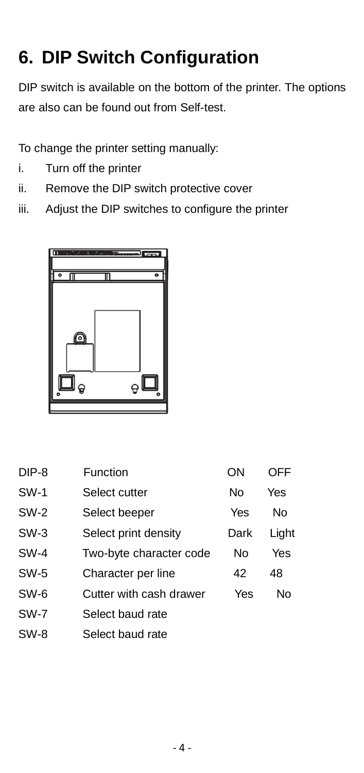## **6. DIP Switch Configuration**

DIP switch is available on the bottom of the printer. The options are also can be found out from Self-test.

To change the printer setting manually:

- i. Turn off the printer
- ii. Remove the DIP switch protective cover
- iii. Adjust the DIP switches to configure the printer



| DIP-8       | Function                | OΝ   | OFF   |
|-------------|-------------------------|------|-------|
| <b>SW-1</b> | Select cutter           | No   | Yes   |
| <b>SW-2</b> | Select beeper           | Yes  | Nο    |
| $SW-3$      | Select print density    | Dark | Light |
| SW-4        | Two-byte character code | N٥   | Yes   |
| <b>SW-5</b> | Character per line      | 42   | 48    |
| SW-6        | Cutter with cash drawer | Yes  | Nο    |
| <b>SW-7</b> | Select baud rate        |      |       |
| SW-8        | Select baud rate        |      |       |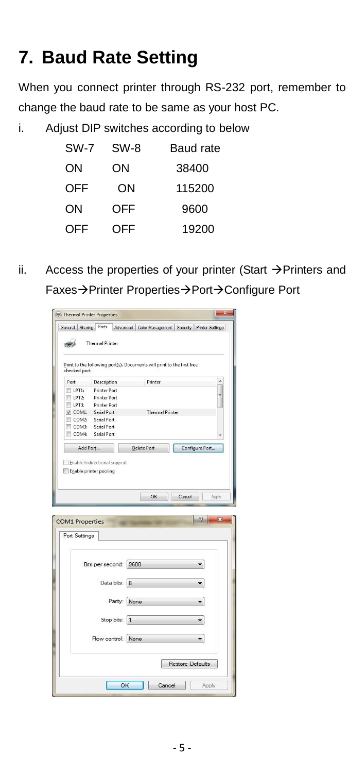## **7. Baud Rate Setting**

When you connect printer through RS-232 port, remember to change the baud rate to be same as your host PC.

i. Adjust DIP switches according to below

| SW-7 | SW-8 | Baud rate |
|------|------|-----------|
| ON   | ΟN   | 38400     |
| OFF  | OΝ   | 115200    |
| ON   | OFF  | 9600      |
| OFF  | OFF  | 19200     |
|      |      |           |

ii. Access the properties of your printer (Start  $\rightarrow$  Printers and Faxes->Printer Properties->Port->Configure Port

|                        | General Sharing Ports      |                              | Advanced Color Management   Security   Printer Settings                |                         |        |
|------------------------|----------------------------|------------------------------|------------------------------------------------------------------------|-------------------------|--------|
|                        |                            |                              |                                                                        |                         |        |
|                        | <b>Thermal Printer</b>     |                              |                                                                        |                         |        |
|                        |                            |                              |                                                                        |                         |        |
|                        |                            |                              | Print to the following port(s). Documents will print to the first free |                         |        |
| checked port.          |                            |                              |                                                                        |                         |        |
| Port                   | Description                |                              | Printer                                                                |                         | ×      |
| $LPT1$ :               | <b>Printer Port</b>        |                              |                                                                        |                         |        |
| LPT2:                  | <b>Printer Port</b>        |                              |                                                                        |                         | Ë      |
| LPT3:                  | <b>Printer Port</b>        |                              |                                                                        |                         |        |
| $V$ COM1:              | Serial Port<br>Serial Port |                              | <b>Thermal Printer</b>                                                 |                         |        |
| COM2:<br>COM3:         | Serial Port                |                              |                                                                        |                         |        |
| COM4:                  | Serial Port                |                              |                                                                        |                         |        |
|                        |                            |                              |                                                                        |                         |        |
| Add Port               |                            |                              | Delete Port                                                            | Configure Port          |        |
| Enable printer pooling |                            |                              |                                                                        |                         |        |
|                        |                            |                              |                                                                        |                         |        |
|                        |                            |                              |                                                                        |                         |        |
|                        |                            |                              |                                                                        |                         |        |
|                        |                            |                              | OK                                                                     | Cancel                  | Apply  |
|                        |                            |                              |                                                                        |                         |        |
|                        |                            |                              |                                                                        |                         | ହ<br>× |
| <b>COM1 Properties</b> |                            |                              |                                                                        |                         |        |
| Port Settings          |                            |                              |                                                                        |                         |        |
|                        |                            |                              |                                                                        |                         |        |
|                        |                            |                              |                                                                        |                         |        |
|                        |                            | Bits per second: 9600        |                                                                        |                         |        |
|                        |                            |                              |                                                                        |                         |        |
|                        |                            | Data bits: 8                 |                                                                        |                         |        |
|                        |                            |                              |                                                                        |                         |        |
|                        |                            |                              |                                                                        |                         |        |
|                        |                            | Parity: None                 |                                                                        |                         |        |
|                        |                            |                              |                                                                        |                         |        |
|                        |                            | Stop bits:<br>$\overline{1}$ |                                                                        |                         |        |
|                        |                            |                              |                                                                        |                         |        |
|                        |                            | Flow control: None           |                                                                        |                         | ۳      |
|                        |                            |                              |                                                                        |                         |        |
|                        |                            |                              |                                                                        |                         |        |
|                        |                            |                              |                                                                        | <b>Restore Defaults</b> |        |
|                        |                            |                              |                                                                        |                         |        |